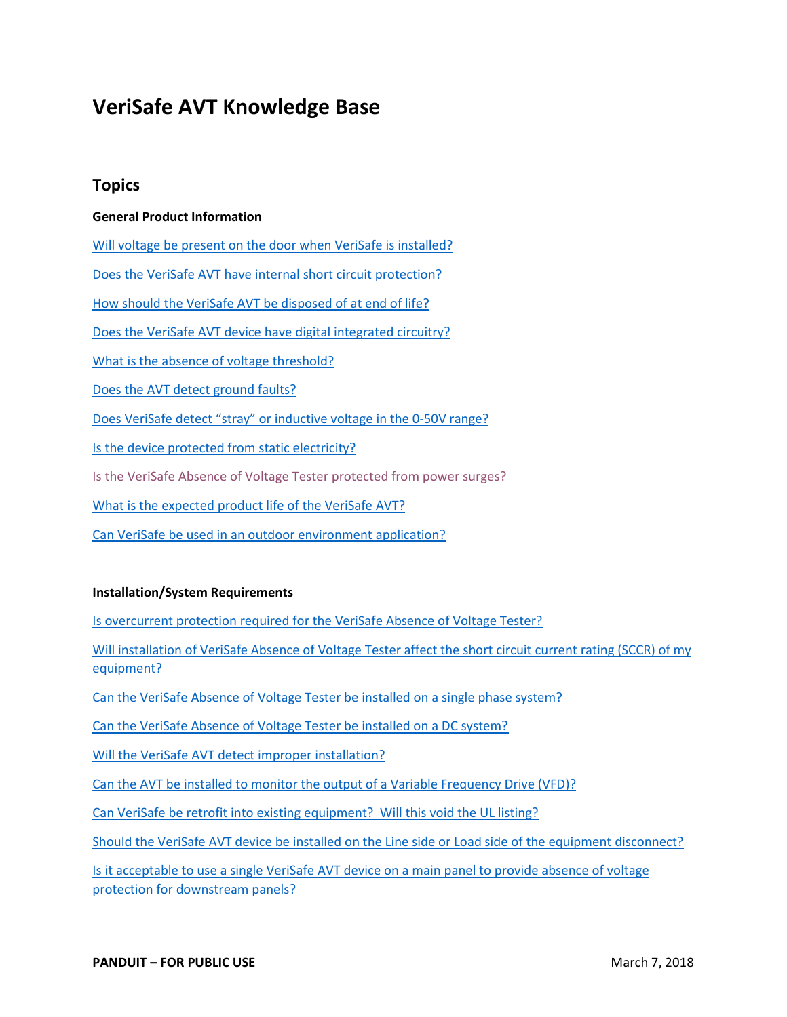# <span id="page-0-0"></span>**VeriSafe AVT Knowledge Base**

## **Topics**

#### **General Product Information**

[Will voltage be present on the door when VeriSafe is installed?](#page-6-0)

[Does the VeriSafe AVT have internal short circuit protection?](#page-6-1)

[How should the VeriSafe AVT be disposed of at end of life?](#page-6-2)

[Does the VeriSafe AVT device have digital integrated circuitry?](#page-7-0)

[What is the absence of voltage threshold?](#page-7-1)

[Does the AVT detect ground faults?](#page-7-2)

[Does VeriSafe detect "stray" or inductive voltage in the 0-50V range?](#page-7-3)

[Is the device protected from static electricity?](#page-7-4)

[Is the VeriSafe Absence of Voltage Tester protected from power surges?](#page-7-5)

What is [the expected product life of the VeriSafe AVT?](#page-7-6)

[Can VeriSafe be used in an outdoor environment application?](#page-7-7)

#### **Installation/System Requirements**

[Is overcurrent protection required for the VeriSafe Absence of Voltage Tester?](#page-9-0)

Will installation of VeriSafe Absence of Voltage Tester affect the short circuit current rating (SCCR) of my [equipment?](#page-9-1)

[Can the VeriSafe Absence of Voltage Tester be installed on a single phase system?](#page-10-0)

[Can the VeriSafe Absence of Voltage Tester be installed on a DC system?](#page-10-1)

[Will the VeriSafe AVT detect improper installation?](#page-10-2)

[Can the AVT be installed to monitor the output of a Variable Frequency Drive \(VFD\)?](#page-10-3)

[Can VeriSafe be retrofit into existing equipment? Will this void the UL listing?](#page-10-4)

[Should the VeriSafe AVT device be installed on the Line side or Load side of the equipment disconnect?](#page-10-5)

[Is it acceptable to use a single VeriSafe AVT device on a main panel to provide absence of voltage](#page-10-6)  [protection for downstream panels?](#page-10-6)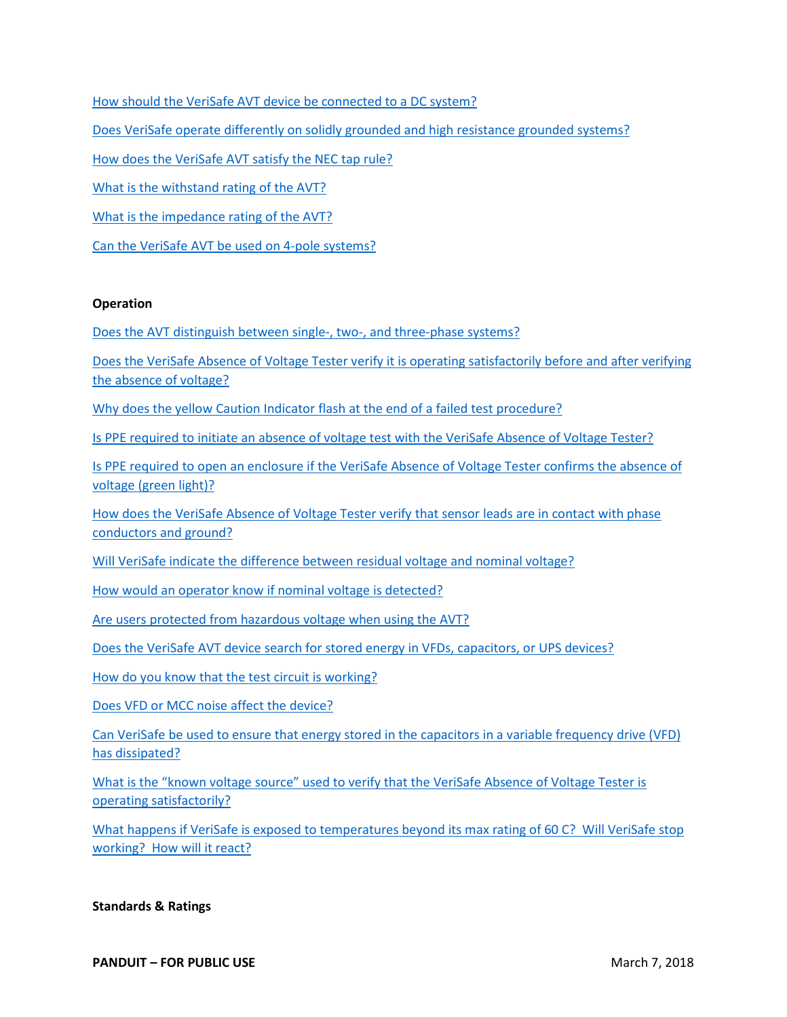[How should the VeriSafe AVT device be connected to a DC system?](#page-11-0)

[Does VeriSafe operate differently on solidly grounded and high resistance grounded systems?](#page-11-1)

[How does the VeriSafe AVT satisfy the NEC tap rule?](#page-11-2)

[What is the withstand rating of the AVT?](#page-11-3)

[What is the impedance rating of the AVT?](#page-11-4)

[Can the VeriSafe AVT be used on 4-pole systems?](#page-11-5)

#### **Operation**

Does the AVT distinguish between single-, two-, and three-phase systems?

[Does the VeriSafe Absence of Voltage Tester verify it is operating satisfactorily before and after verifying](#page-12-0)  [the absence of voltage?](#page-12-0) 

[Why does the yellow Caution Indicator flash at the end of a failed test procedure?](#page-12-1)

[Is PPE required to initiate an absence of voltage test with the VeriSafe Absence of Voltage Tester?](#page-12-2)

[Is PPE required to open an enclosure if the VeriSafe Absence of Voltage Tester confirms the absence of](#page-13-0)  [voltage \(green light\)?](#page-13-0)

[How does the VeriSafe Absence of Voltage Tester verify that sensor leads are in contact with phase](#page-13-1)  [conductors and ground?](#page-13-1)

[Will VeriSafe indicate the difference between residual voltage and nominal voltage?](#page-13-2)

[How would an operator know if nominal voltage is detected?](#page-13-3)

[Are users protected from hazardous voltage when using the AVT?](#page-13-4)

[Does the VeriSafe AVT device search for stored energy in VFDs, capacitors, or](#page-14-0) UPS devices?

[How do you know that the test circuit is working?](#page-14-1)

[Does VFD or MCC noise affect the device?](#page-14-2)

[Can VeriSafe be used to ensure that energy stored in the capacitors in a variable frequency drive \(VFD\)](#page-14-3)  [has dissipated?](#page-14-3)

[What is the "known voltage source" used to verify that the VeriSafe Absence of Voltage Tester is](#page-14-4)  [operating satisfactorily?](#page-14-4)

[What happens if VeriSafe is exposed to temperatures beyond its max](#page-14-5) rating of 60 C? Will VeriSafe stop [working? How will it react?](#page-14-5)

#### **Standards & Ratings**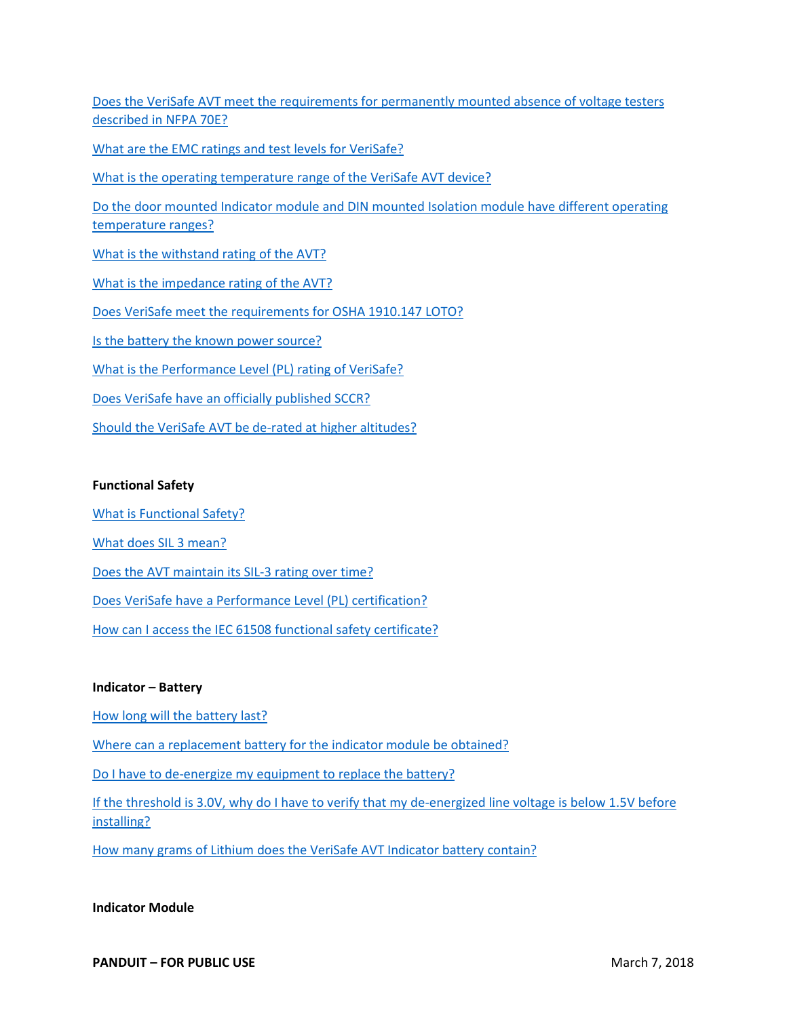[Does the VeriSafe AVT meet the requirements for permanently mounted absence of voltage testers](#page-16-0)  [described in NFPA 70E?](#page-16-0)

[What are the EMC ratings and test levels for VeriSafe?](#page-16-1)

[What is the operating temperature range of the VeriSafe AVT device?](#page-16-2)

[Do the door mounted Indicator module and DIN mounted Isolation module have different operating](#page-16-3)  [temperature ranges?](#page-16-3)

[What is the withstand rating of the AVT?](#page-17-0)

[What is the impedance rating of the AVT?](#page-17-1)

[Does VeriSafe meet the requirements for OSHA 1910.147 LOTO?](#page-17-2)

[Is the battery the known power source?](#page-17-3)

[What is the Performance Level \(PL\) rating of VeriSafe?](#page-17-4)

[Does VeriSafe have an officially published SCCR?](#page-17-5)

[Should the VeriSafe AVT be de-rated at higher altitudes?](#page-17-6)

#### **Functional Safety**

[What is Functional Safety?](#page-5-0)

[What does SIL 3 mean?](#page-5-1)

Does the AVT maintain [its SIL-3 rating over time?](#page-6-3)

[Does VeriSafe have a Performance Level \(PL\) certification?](#page-6-3)

[How can I access the IEC 61508 functional safety certificate?](#page-6-3)

#### **Indicator – Battery**

[How long will the battery last?](#page-8-0)

[Where can a replacement battery for the indicator module be obtained?](#page-8-1)

[Do I have to de-energize my equipment to replace the battery?](#page-8-2)

[If the threshold is 3.0V, why do I have to verify that my de-energized line voltage is below 1.5V before](#page-8-3)  [installing?](#page-8-3)

[How many grams of Lithium does the VeriSafe AVT Indicator battery contain?](#page-8-4)

#### **Indicator Module**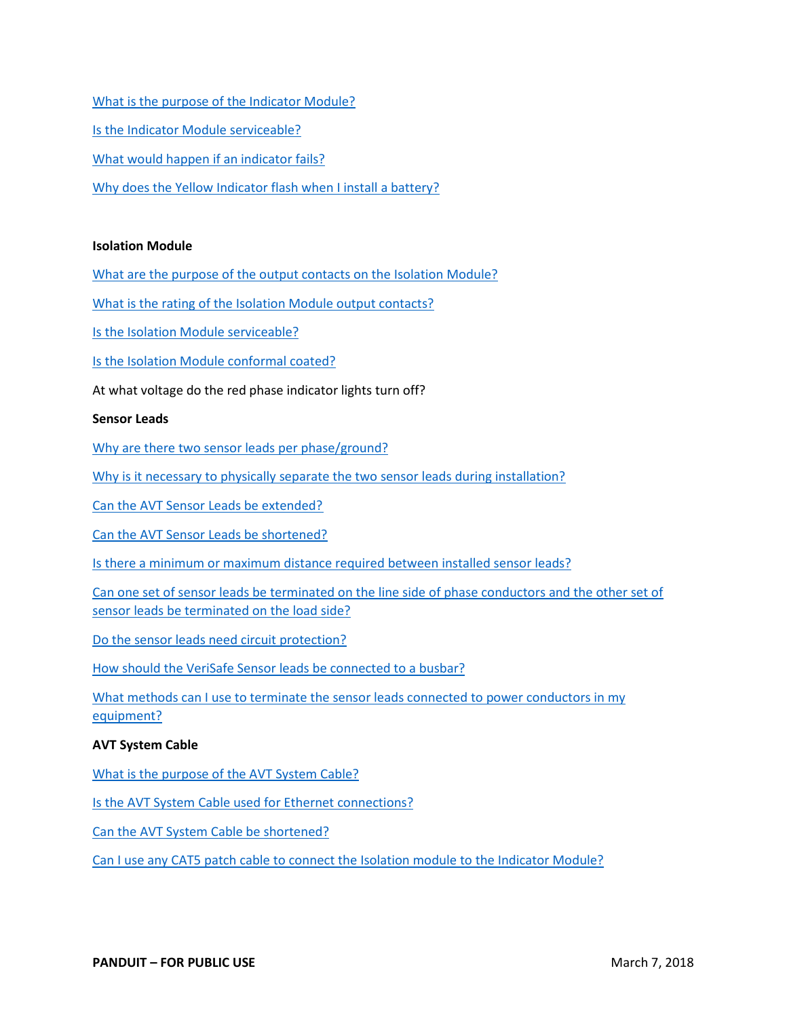[What is the purpose of the Indicator Module?](#page-8-5) [Is the Indicator Module serviceable?](#page-8-6) [What would happen if an indicator fails?](#page-9-2) [Why does the Yellow Indicator flash when I install a battery?](#page-9-3)

#### **Isolation Module**

[What are the purpose of the output contacts on the Isolation Module?](#page-11-6)

[What is the rating of the Isolation Module output contacts?](#page-11-7)

[Is the Isolation Module serviceable?](#page-11-8)

[Is the Isolation Module conformal coated?](#page-11-9)

At what voltage do the red phase indicator lights turn off?

#### **Sensor Leads**

[Why are there two sensor leads per phase/ground?](#page-14-6)

[Why is it necessary to physically separate the two sensor leads during installation?](#page-15-0)

[Can the AVT Sensor Leads be extended?](#page-15-1)

[Can the AVT Sensor Leads be shortened?](#page-15-2)

[Is there a minimum or maximum distance required between installed sensor leads?](#page-15-3)

[Can one set of sensor leads be terminated on the line side of phase conductors and the other set of](#page-15-4)  [sensor leads be terminated on the load side?](#page-15-4)

[Do the sensor leads need circuit protection?](#page-15-5)

[How should the VeriSafe Sensor leads be](#page-15-6) connected to a busbar?

What methods can I use to terminate the sensor leads connected to power conductors in my [equipment?](#page-16-4)

#### **AVT System Cable**

[What is the purpose of the AVT System Cable?](#page-5-2)

[Is the AVT System Cable used for Ethernet connections?](#page-5-3)

[Can the AVT System Cable be shortened?](#page-5-4)

[Can I use any CAT5 patch cable to connect the Isolation module to the Indicator Module?](#page-5-5)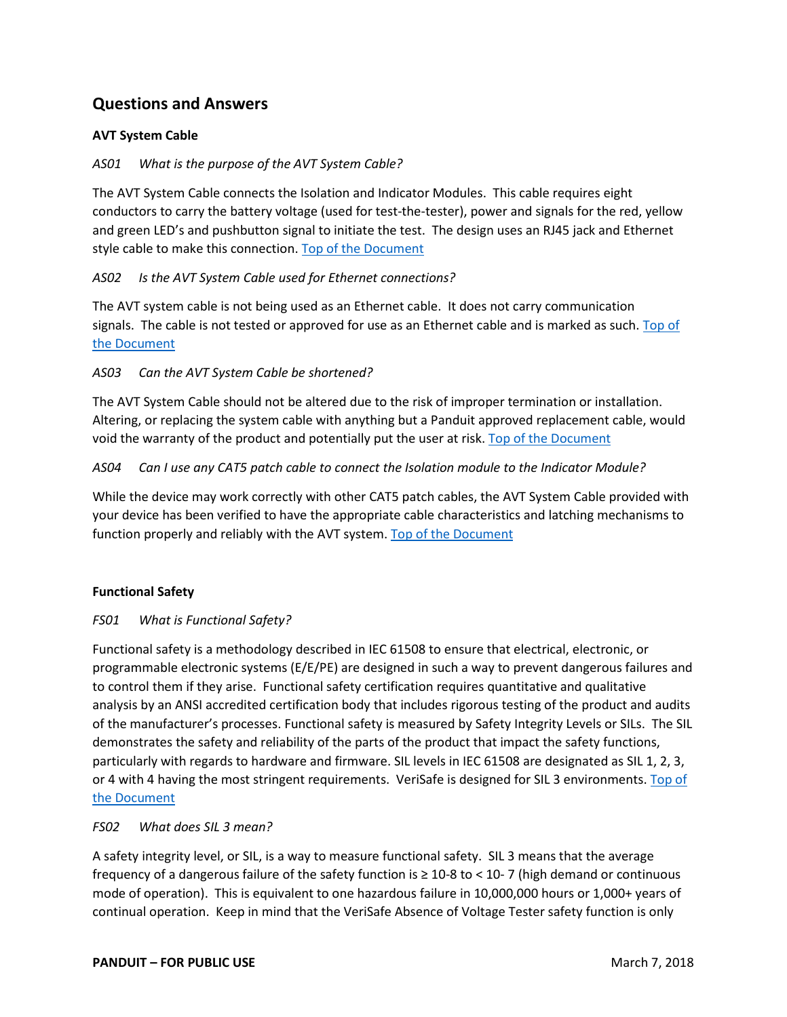## **Questions and Answers**

#### **AVT System Cable**

#### <span id="page-5-2"></span>*AS01 What is the purpose of the AVT System Cable?*

The AVT System Cable connects the Isolation and Indicator Modules. This cable requires eight conductors to carry the battery voltage (used for test-the-tester), power and signals for the red, yellow and green LED's and pushbutton signal to initiate the test. The design uses an RJ45 jack and Ethernet style cable to make this connection. [Top of the Document](#page-0-0)

#### <span id="page-5-3"></span>*AS02 Is the AVT System Cable used for Ethernet connections?*

The AVT system cable is not being used as an Ethernet cable. It does not carry communication signals. The cable is not tested or approved for use as an Ethernet cable and is marked as such. [Top of](#page-0-0)  [the Document](#page-0-0)

#### <span id="page-5-4"></span>*AS03 Can the AVT System Cable be shortened?*

The AVT System Cable should not be altered due to the risk of improper termination or installation. Altering, or replacing the system cable with anything but a Panduit approved replacement cable, would void the warranty of the product and potentially put the user at risk. [Top of the Document](#page-0-0)

#### <span id="page-5-5"></span>*AS04 Can I use any CAT5 patch cable to connect the Isolation module to the Indicator Module?*

While the device may work correctly with other CAT5 patch cables, the AVT System Cable provided with your device has been verified to have the appropriate cable characteristics and latching mechanisms to function properly and reliably with the AVT system. [Top of the Document](#page-0-0)

#### **Functional Safety**

#### <span id="page-5-0"></span>*FS01 What is Functional Safety?*

Functional safety is a methodology described in IEC 61508 to ensure that electrical, electronic, or programmable electronic systems (E/E/PE) are designed in such a way to prevent dangerous failures and to control them if they arise. Functional safety certification requires quantitative and qualitative analysis by an ANSI accredited certification body that includes rigorous testing of the product and audits of the manufacturer's processes. Functional safety is measured by Safety Integrity Levels or SILs. The SIL demonstrates the safety and reliability of the parts of the product that impact the safety functions, particularly with regards to hardware and firmware. SIL levels in IEC 61508 are designated as SIL 1, 2, 3, or 4 with 4 having the most stringent requirements. VeriSafe is designed for SIL 3 environments. [Top of](#page-0-0)  [the Document](#page-0-0)

#### <span id="page-5-1"></span>*FS02 What does SIL 3 mean?*

A safety integrity level, or SIL, is a way to measure functional safety. SIL 3 means that the average frequency of a dangerous failure of the safety function is ≥ 10-8 to < 10- 7 (high demand or continuous mode of operation). This is equivalent to one hazardous failure in 10,000,000 hours or 1,000+ years of continual operation. Keep in mind that the VeriSafe Absence of Voltage Tester safety function is only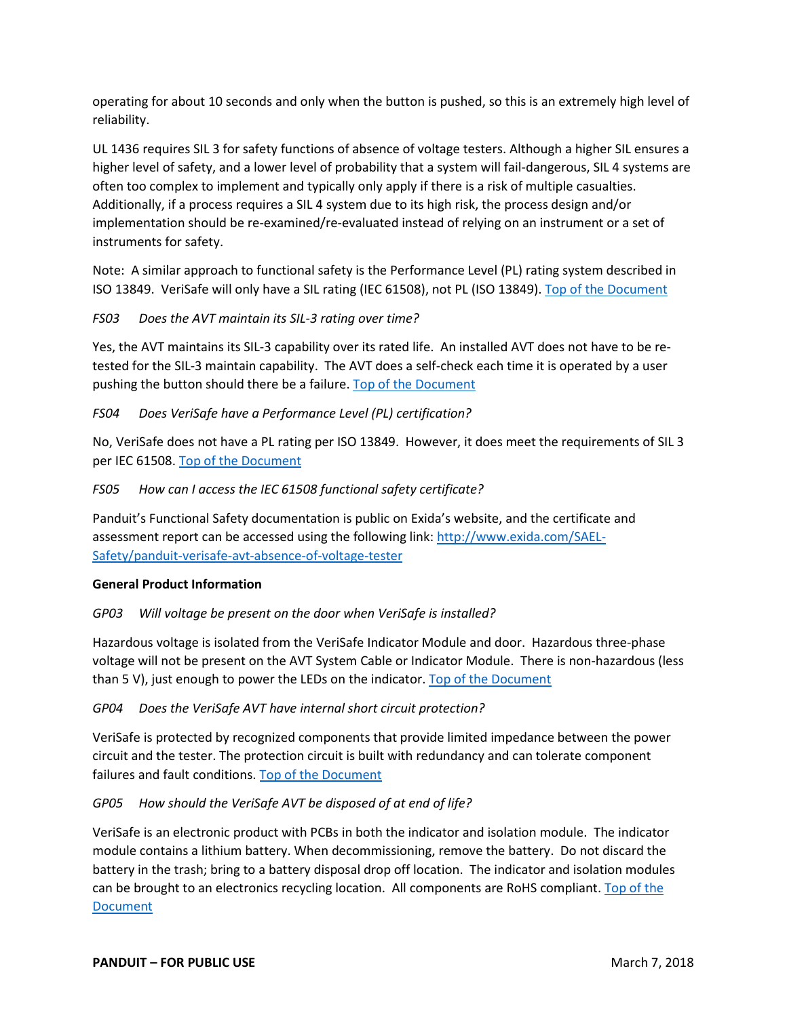operating for about 10 seconds and only when the button is pushed, so this is an extremely high level of reliability.

UL 1436 requires SIL 3 for safety functions of absence of voltage testers. Although a higher SIL ensures a higher level of safety, and a lower level of probability that a system will fail-dangerous, SIL 4 systems are often too complex to implement and typically only apply if there is a risk of multiple casualties. Additionally, if a process requires a SIL 4 system due to its high risk, the process design and/or implementation should be re-examined/re-evaluated instead of relying on an instrument or a set of instruments for safety.

Note: A similar approach to functional safety is the Performance Level (PL) rating system described in ISO 13849. VeriSafe will only have a SIL rating (IEC 61508), not PL (ISO 13849). [Top of the Document](#page-0-0)

<span id="page-6-3"></span>*FS03 Does the AVT maintain its SIL-3 rating over time?*

Yes, the AVT maintains its SIL-3 capability over its rated life. An installed AVT does not have to be retested for the SIL-3 maintain capability. The AVT does a self-check each time it is operated by a user pushing the button should there be a failure. [Top of the Document](#page-0-0)

#### *FS04 Does VeriSafe have a Performance Level (PL) certification?*

No, VeriSafe does not have a PL rating per ISO 13849. However, it does meet the requirements of SIL 3 per IEC 61508. [Top of the Document](#page-0-0)

*FS05 How can I access the IEC 61508 functional safety certificate?*

Panduit's Functional Safety documentation is public on Exida's website, and the certificate and assessment report can be accessed using the following link: [http://www.exida.com/SAEL-](http://www.exida.com/SAEL-Safety/panduit-verisafe-avt-absence-of-voltage-tester)[Safety/panduit-verisafe-avt-absence-of-voltage-tester](http://www.exida.com/SAEL-Safety/panduit-verisafe-avt-absence-of-voltage-tester)

#### **General Product Information**

#### <span id="page-6-0"></span>*GP03 Will voltage be present on the door when VeriSafe is installed?*

Hazardous voltage is isolated from the VeriSafe Indicator Module and door. Hazardous three-phase voltage will not be present on the AVT System Cable or Indicator Module. There is non-hazardous (less than 5 V), just enough to power the LEDs on the indicator. [Top of the Document](#page-0-0)

<span id="page-6-1"></span>*GP04 Does the VeriSafe AVT have internal short circuit protection?*

VeriSafe is protected by recognized components that provide limited impedance between the power circuit and the tester. The protection circuit is built with redundancy and can tolerate component failures and fault conditions. Top of [the Document](#page-0-0)

<span id="page-6-2"></span>*GP05 How should the VeriSafe AVT be disposed of at end of life?*

VeriSafe is an electronic product with PCBs in both the indicator and isolation module. The indicator module contains a lithium battery. When decommissioning, remove the battery. Do not discard the battery in the trash; bring to a battery disposal drop off location. The indicator and isolation modules can be brought to an electronics recycling location. All components are RoHS compliant. Top of the [Document](#page-0-0)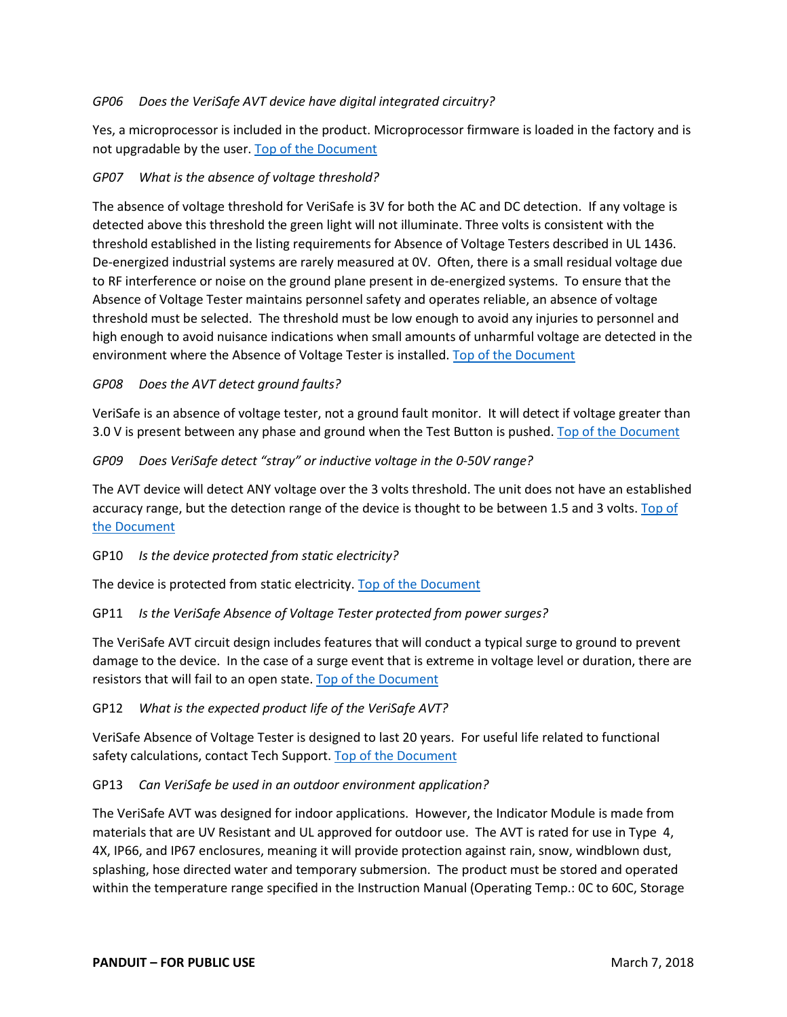#### <span id="page-7-0"></span>*GP06 Does the VeriSafe AVT device have digital integrated circuitry?*

Yes, a microprocessor is included in the product. Microprocessor firmware is loaded in the factory and is not upgradable by the user. [Top of the Document](#page-0-0)

### <span id="page-7-1"></span>*GP07 What is the absence of voltage threshold?*

The absence of voltage threshold for VeriSafe is 3V for both the AC and DC detection. If any voltage is detected above this threshold the green light will not illuminate. Three volts is consistent with the threshold established in the listing requirements for Absence of Voltage Testers described in UL 1436. De-energized industrial systems are rarely measured at 0V. Often, there is a small residual voltage due to RF interference or noise on the ground plane present in de-energized systems. To ensure that the Absence of Voltage Tester maintains personnel safety and operates reliable, an absence of voltage threshold must be selected. The threshold must be low enough to avoid any injuries to personnel and high enough to avoid nuisance indications when small amounts of unharmful voltage are detected in the environment where the Absence of Voltage Tester is installed. [Top of the Document](#page-0-0)

#### <span id="page-7-2"></span>*GP08 Does the AVT detect ground faults?*

VeriSafe is an absence of voltage tester, not a ground fault monitor. It will detect if voltage greater than 3.0 V is present between any phase and ground when the Test Button is pushed. [Top of the Document](#page-0-0)

#### <span id="page-7-3"></span>*GP09 Does VeriSafe detect "stray" or inductive voltage in the 0-50V range?*

The AVT device will detect ANY voltage over the 3 volts threshold. The unit does not have an established accuracy range, but the detection range of the device is thought to be between 1.5 and 3 volts. [Top of](#page-0-0)  [the Document](#page-0-0)

#### <span id="page-7-4"></span>GP10 *Is the device protected from static electricity?*

The device is protected from static electricity. [Top of the Document](#page-0-0)

## <span id="page-7-5"></span>GP11 *Is the VeriSafe Absence of Voltage Tester protected from power surges?*

The VeriSafe AVT circuit design includes features that will conduct a typical surge to ground to prevent damage to the device. In the case of a surge event that is extreme in voltage level or duration, there are resistors that will fail to an open state. [Top of the Document](#page-0-0)

#### <span id="page-7-6"></span>GP12 *What is the expected product life of the VeriSafe AVT?*

VeriSafe Absence of Voltage Tester is designed to last 20 years. For useful life related to functional safety calculations, contact Tech Support. [Top of the Document](#page-0-0)

#### <span id="page-7-7"></span>GP13 *Can VeriSafe be used in an outdoor environment application?*

The VeriSafe AVT was designed for indoor applications. However, the Indicator Module is made from materials that are UV Resistant and UL approved for outdoor use. The AVT is rated for use in Type 4, 4X, IP66, and IP67 enclosures, meaning it will provide protection against rain, snow, windblown dust, splashing, hose directed water and temporary submersion. The product must be stored and operated within the temperature range specified in the Instruction Manual (Operating Temp.: 0C to 60C, Storage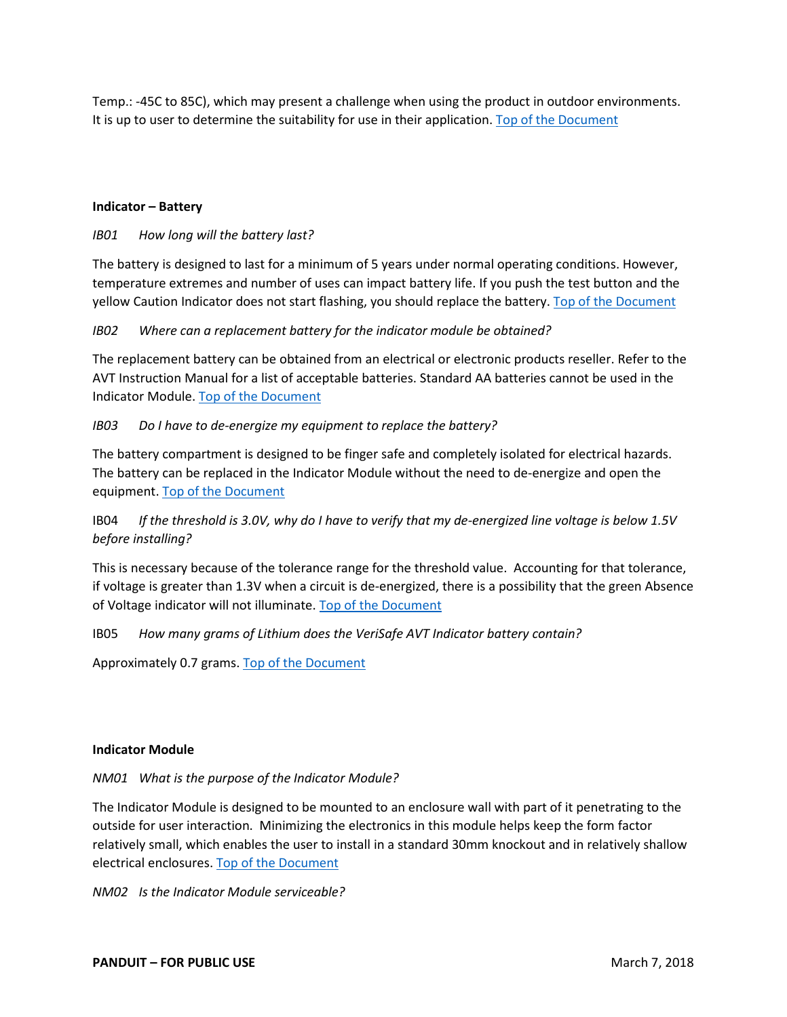Temp.: -45C to 85C), which may present a challenge when using the product in outdoor environments. It is up to user to determine the suitability for use in their application. [Top of the Document](#page-0-0)

#### **Indicator – Battery**

#### <span id="page-8-0"></span>*IB01 How long will the battery last?*

The battery is designed to last for a minimum of 5 years under normal operating conditions. However, temperature extremes and number of uses can impact battery life. If you push the test button and the yellow Caution Indicator does not start flashing, you should replace the battery. [Top of the Document](#page-0-0)

#### <span id="page-8-1"></span>*IB02 Where can a replacement battery for the indicator module be obtained?*

The replacement battery can be obtained from an electrical or electronic products reseller. Refer to the AVT Instruction Manual for a list of acceptable batteries. Standard AA batteries cannot be used in the Indicator Module. [Top of the Document](#page-0-0)

#### <span id="page-8-2"></span>*IB03 Do I have to de-energize my equipment to replace the battery?*

The battery compartment is designed to be finger safe and completely isolated for electrical hazards. The battery can be replaced in the Indicator Module without the need to de-energize and open the equipment. [Top of the Document](#page-0-0)

## <span id="page-8-3"></span>IB04 *If the threshold is 3.0V, why do I have to verify that my de-energized line voltage is below 1.5V before installing?*

This is necessary because of the tolerance range for the threshold value. Accounting for that tolerance, if voltage is greater than 1.3V when a circuit is de-energized, there is a possibility that the green Absence of Voltage indicator will not illuminate. [Top of the Document](#page-0-0)

#### <span id="page-8-4"></span>IB05 *How many grams of Lithium does the VeriSafe AVT Indicator battery contain?*

Approximately 0.7 grams. [Top of the Document](#page-0-0)

#### **Indicator Module**

#### <span id="page-8-5"></span>*NM01 What is the purpose of the Indicator Module?*

The Indicator Module is designed to be mounted to an enclosure wall with part of it penetrating to the outside for user interaction. Minimizing the electronics in this module helps keep the form factor relatively small, which enables the user to install in a standard 30mm knockout and in relatively shallow electrical enclosures. [Top of the Document](#page-0-0)

<span id="page-8-6"></span>*NM02 Is the Indicator Module serviceable?*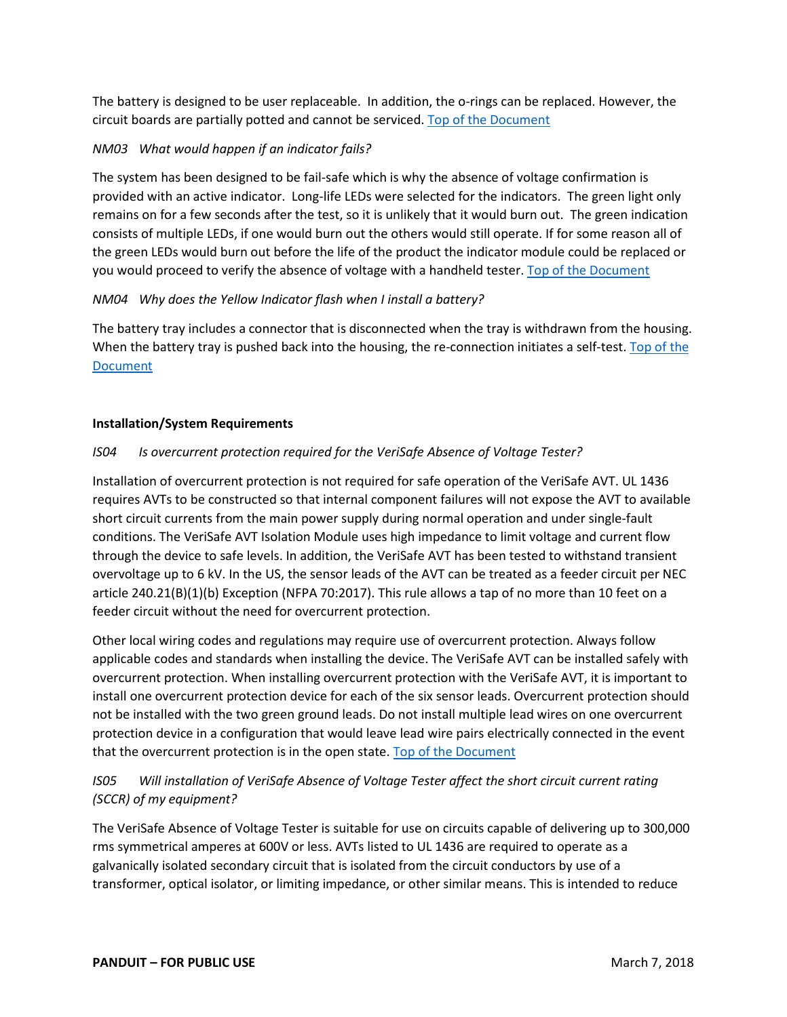The battery is designed to be user replaceable. In addition, the o-rings can be replaced. However, the circuit boards are partially potted and cannot be serviced. [Top of the Document](#page-0-0)

### <span id="page-9-2"></span>*NM03 What would happen if an indicator fails?*

The system has been designed to be fail-safe which is why the absence of voltage confirmation is provided with an active indicator. Long-life LEDs were selected for the indicators. The green light only remains on for a few seconds after the test, so it is unlikely that it would burn out. The green indication consists of multiple LEDs, if one would burn out the others would still operate. If for some reason all of the green LEDs would burn out before the life of the product the indicator module could be replaced or you would proceed to verify the absence of voltage with a handheld tester. [Top of the](#page-0-0) Document

#### <span id="page-9-3"></span>*NM04 Why does the Yellow Indicator flash when I install a battery?*

The battery tray includes a connector that is disconnected when the tray is withdrawn from the housing. When the battery tray is pushed back into the housing, the re-connection initiates a self-test. Top of the **[Document](#page-0-0)** 

#### **Installation/System Requirements**

#### <span id="page-9-0"></span>*IS04 Is overcurrent protection required for the VeriSafe Absence of Voltage Tester?*

Installation of overcurrent protection is not required for safe operation of the VeriSafe AVT. UL 1436 requires AVTs to be constructed so that internal component failures will not expose the AVT to available short circuit currents from the main power supply during normal operation and under single-fault conditions. The VeriSafe AVT Isolation Module uses high impedance to limit voltage and current flow through the device to safe levels. In addition, the VeriSafe AVT has been tested to withstand transient overvoltage up to 6 kV. In the US, the sensor leads of the AVT can be treated as a feeder circuit per NEC article 240.21(B)(1)(b) Exception (NFPA 70:2017). This rule allows a tap of no more than 10 feet on a feeder circuit without the need for overcurrent protection.

Other local wiring codes and regulations may require use of overcurrent protection. Always follow applicable codes and standards when installing the device. The VeriSafe AVT can be installed safely with overcurrent protection. When installing overcurrent protection with the VeriSafe AVT, it is important to install one overcurrent protection device for each of the six sensor leads. Overcurrent protection should not be installed with the two green ground leads. Do not install multiple lead wires on one overcurrent protection device in a configuration that would leave lead wire pairs electrically connected in the event that the overcurrent protection is in the open state. [Top of the Document](#page-0-0)

## <span id="page-9-1"></span>*IS05 Will installation of VeriSafe Absence of Voltage Tester affect the short circuit current rating (SCCR) of my equipment?*

The VeriSafe Absence of Voltage Tester is suitable for use on circuits capable of delivering up to 300,000 rms symmetrical amperes at 600V or less. AVTs listed to UL 1436 are required to operate as a galvanically isolated secondary circuit that is isolated from the circuit conductors by use of a transformer, optical isolator, or limiting impedance, or other similar means. This is intended to reduce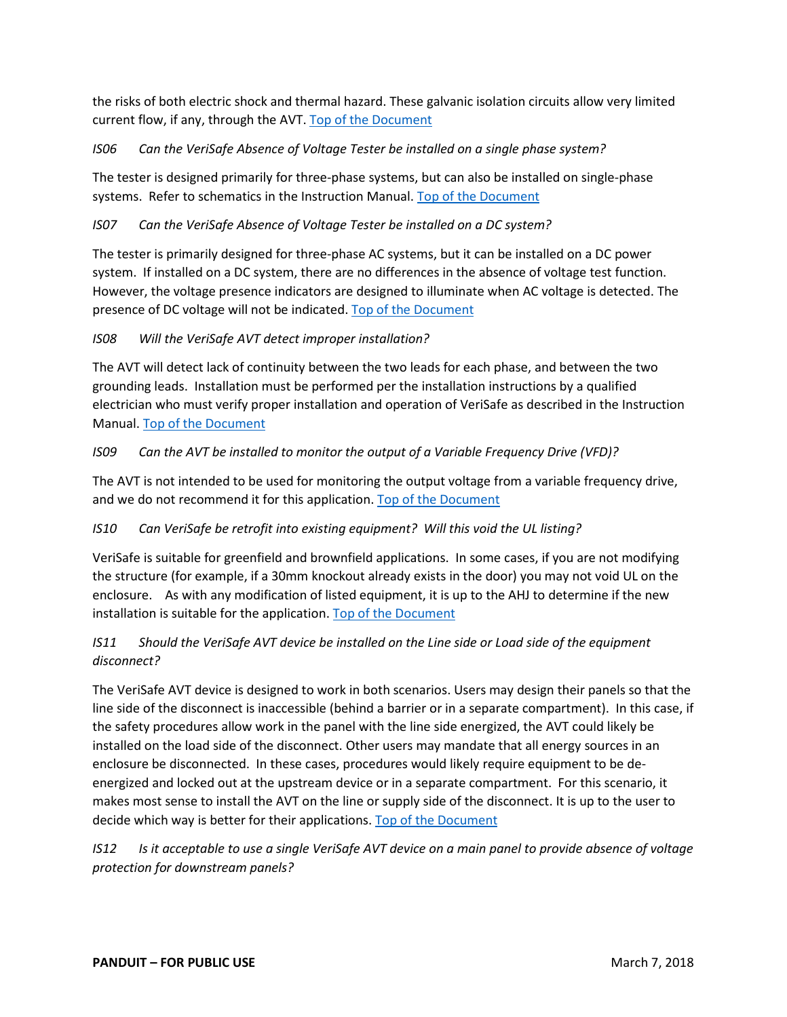the risks of both electric shock and thermal hazard. These galvanic isolation circuits allow very limited current flow, if any, through the AVT. [Top of the Document](#page-0-0)

## <span id="page-10-0"></span>*IS06 Can the VeriSafe Absence of Voltage Tester be installed on a single phase system?*

The tester is designed primarily for three-phase systems, but can also be installed on single-phase systems. Refer to schematics in the Instruction Manual. [Top of the Document](#page-0-0)

## <span id="page-10-1"></span>*IS07 Can the VeriSafe Absence of Voltage Tester be installed on a DC system?*

The tester is primarily designed for three-phase AC systems, but it can be installed on a DC power system. If installed on a DC system, there are no differences in the absence of voltage test function. However, the voltage presence indicators are designed to illuminate when AC voltage is detected. The presence of DC voltage will not be indicated. [Top of the Document](#page-0-0)

## <span id="page-10-2"></span>*IS08 Will the VeriSafe AVT detect improper installation?*

The AVT will detect lack of continuity between the two leads for each phase, and between the two grounding leads. Installation must be performed per the installation instructions by a qualified electrician who must verify proper installation and operation of VeriSafe as described in the Instruction Manual. [Top of the Document](#page-0-0)

## <span id="page-10-3"></span>*IS09 Can the AVT be installed to monitor the output of a Variable Frequency Drive (VFD)?*

The AVT is not intended to be used for monitoring the output voltage from a variable frequency drive, and we do not recommend it for this application. [Top of the Document](#page-0-0)

## <span id="page-10-4"></span>*IS10 Can VeriSafe be retrofit into existing equipment? Will this void the UL listing?*

VeriSafe is suitable for greenfield and brownfield applications. In some cases, if you are not modifying the structure (for example, if a 30mm knockout already exists in the door) you may not void UL on the enclosure. As with any modification of listed equipment, it is up to the AHJ to determine if the new installation is suitable for the application. [Top of the Document](#page-0-0)

## <span id="page-10-5"></span>*IS11 Should the VeriSafe AVT device be installed on the Line side or Load side of the equipment disconnect?*

The VeriSafe AVT device is designed to work in both scenarios. Users may design their panels so that the line side of the disconnect is inaccessible (behind a barrier or in a separate compartment). In this case, if the safety procedures allow work in the panel with the line side energized, the AVT could likely be installed on the load side of the disconnect. Other users may mandate that all energy sources in an enclosure be disconnected. In these cases, procedures would likely require equipment to be deenergized and locked out at the upstream device or in a separate compartment. For this scenario, it makes most sense to install the AVT on the line or supply side of the disconnect. It is up to the user to decide which way is better for their applications. [Top of the Document](#page-0-0)

<span id="page-10-6"></span>*IS12 Is it acceptable to use a single VeriSafe AVT device on a main panel to provide absence of voltage protection for downstream panels?*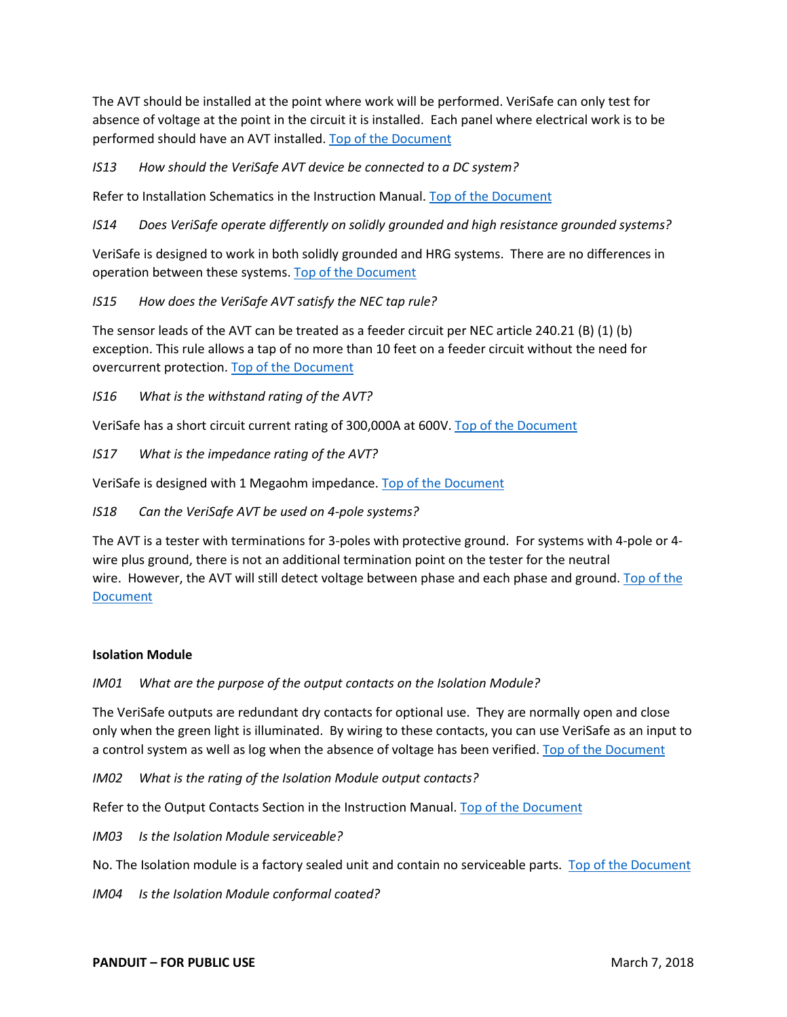The AVT should be installed at the point where work will be performed. VeriSafe can only test for absence of voltage at the point in the circuit it is installed. Each panel where electrical work is to be performed should have an AVT installed. [Top of the Document](#page-0-0)

<span id="page-11-0"></span>*IS13 How should the VeriSafe AVT device be connected to a DC system?*

Refer to Installation Schematics in the Instruction Manual. [Top of the Document](#page-0-0)

<span id="page-11-1"></span>*IS14 Does VeriSafe operate differently on solidly grounded and high resistance grounded systems?*

VeriSafe is designed to work in both solidly grounded and HRG systems. There are no differences in operation between these systems. [Top of the Document](#page-0-0)

<span id="page-11-2"></span>*IS15 How does the VeriSafe AVT satisfy the NEC tap rule?*

The sensor leads of the AVT can be treated as a feeder circuit per NEC article 240.21 (B) (1) (b) exception. This rule allows a tap of no more than 10 feet on a feeder circuit without the need for overcurrent protection. [Top of the Document](#page-0-0)

<span id="page-11-3"></span>*IS16 What is the withstand rating of the AVT?*

VeriSafe has a short circuit current rating of 300,000A at 600V. [Top of the Document](#page-0-0)

<span id="page-11-4"></span>*IS17 What is the impedance rating of the AVT?*

VeriSafe is designed with 1 Megaohm impedance. [Top of the Document](#page-0-0)

<span id="page-11-5"></span>*IS18 Can the VeriSafe AVT be used on 4-pole systems?*

The AVT is a tester with terminations for 3-poles with protective ground. For systems with 4-pole or 4 wire plus ground, there is not an additional termination point on the tester for the neutral wire. However, the AVT will still detect voltage between phase and each phase and ground. Top of the **[Document](#page-0-0)** 

#### **Isolation Module**

<span id="page-11-6"></span>*IM01 What are the purpose of the output contacts on the Isolation Module?*

The VeriSafe outputs are redundant dry contacts for optional use. They are normally open and close only when the green light is illuminated. By wiring to these contacts, you can use VeriSafe as an input to a control system as well as log when the absence of voltage has been verified. [Top of the Document](#page-0-0)

<span id="page-11-7"></span>*IM02 What is the rating of the Isolation Module output contacts?*

Refer to the Output Contacts Section in the Instruction Manual. [Top of the Document](#page-0-0)

<span id="page-11-8"></span>*IM03 Is the Isolation Module serviceable?*

No. The Isolation module is a factory sealed unit and contain no serviceable parts. [Top of the Document](#page-0-0)

<span id="page-11-9"></span>*IM04 Is the Isolation Module conformal coated?*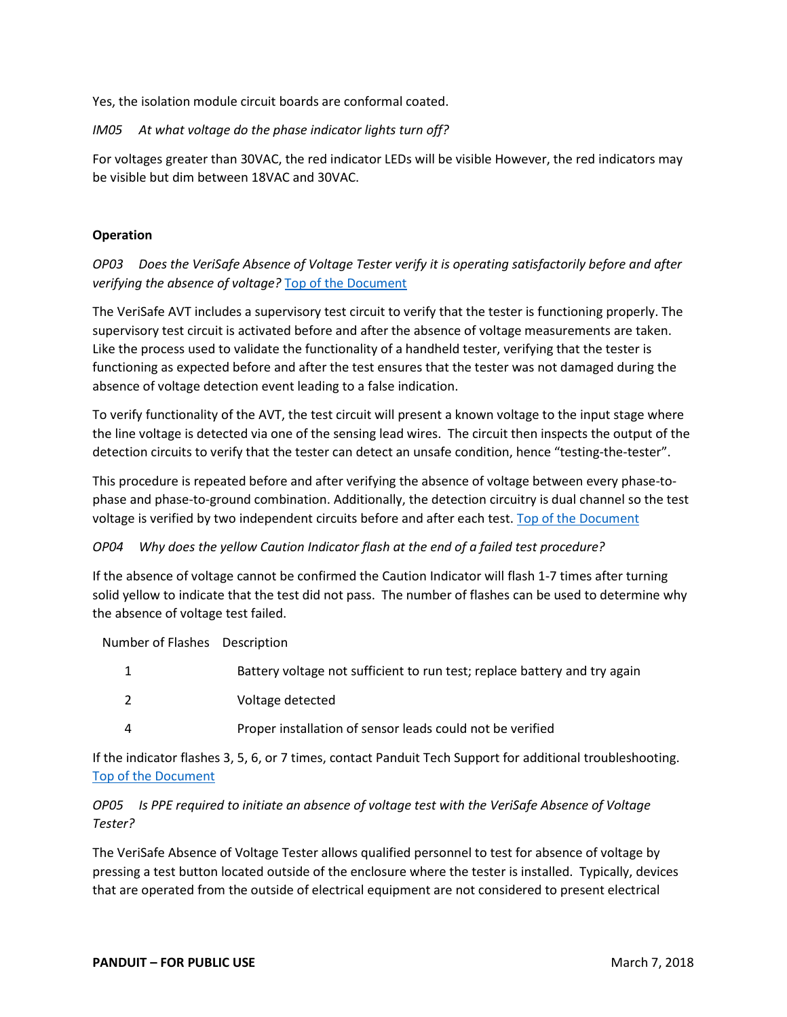Yes, the isolation module circuit boards are conformal coated.

### *IM05 At what voltage do the phase indicator lights turn off?*

For voltages greater than 30VAC, the red indicator LEDs will be visible However, the red indicators may be visible but dim between 18VAC and 30VAC.

### **Operation**

<span id="page-12-1"></span><span id="page-12-0"></span>*OP03 Does the VeriSafe Absence of Voltage Tester verify it is operating satisfactorily before and after verifying the absence of voltage?* [Top of the Document](#page-0-0)

The VeriSafe AVT includes a supervisory test circuit to verify that the tester is functioning properly. The supervisory test circuit is activated before and after the absence of voltage measurements are taken. Like the process used to validate the functionality of a handheld tester, verifying that the tester is functioning as expected before and after the test ensures that the tester was not damaged during the absence of voltage detection event leading to a false indication.

To verify functionality of the AVT, the test circuit will present a known voltage to the input stage where the line voltage is detected via one of the sensing lead wires. The circuit then inspects the output of the detection circuits to verify that the tester can detect an unsafe condition, hence "testing-the-tester".

This procedure is repeated before and after verifying the absence of voltage between every phase-tophase and phase-to-ground combination. Additionally, the detection circuitry is dual channel so the test voltage is verified by two independent circuits before and after each test. [Top of the Document](#page-0-0)

## *OP04 Why does the yellow Caution Indicator flash at the end of a failed test procedure?*

If the absence of voltage cannot be confirmed the Caution Indicator will flash 1-7 times after turning solid yellow to indicate that the test did not pass. The number of flashes can be used to determine why the absence of voltage test failed.

Number of Flashes Description

|   | Battery voltage not sufficient to run test; replace battery and try again |
|---|---------------------------------------------------------------------------|
|   | Voltage detected                                                          |
| Δ | Proper installation of sensor leads could not be verified                 |

If the indicator flashes 3, 5, 6, or 7 times, contact Panduit Tech Support for additional troubleshooting. [Top of the Document](#page-0-0)

## <span id="page-12-2"></span>*OP05 Is PPE required to initiate an absence of voltage test with the VeriSafe Absence of Voltage Tester?*

The VeriSafe Absence of Voltage Tester allows qualified personnel to test for absence of voltage by pressing a test button located outside of the enclosure where the tester is installed. Typically, devices that are operated from the outside of electrical equipment are not considered to present electrical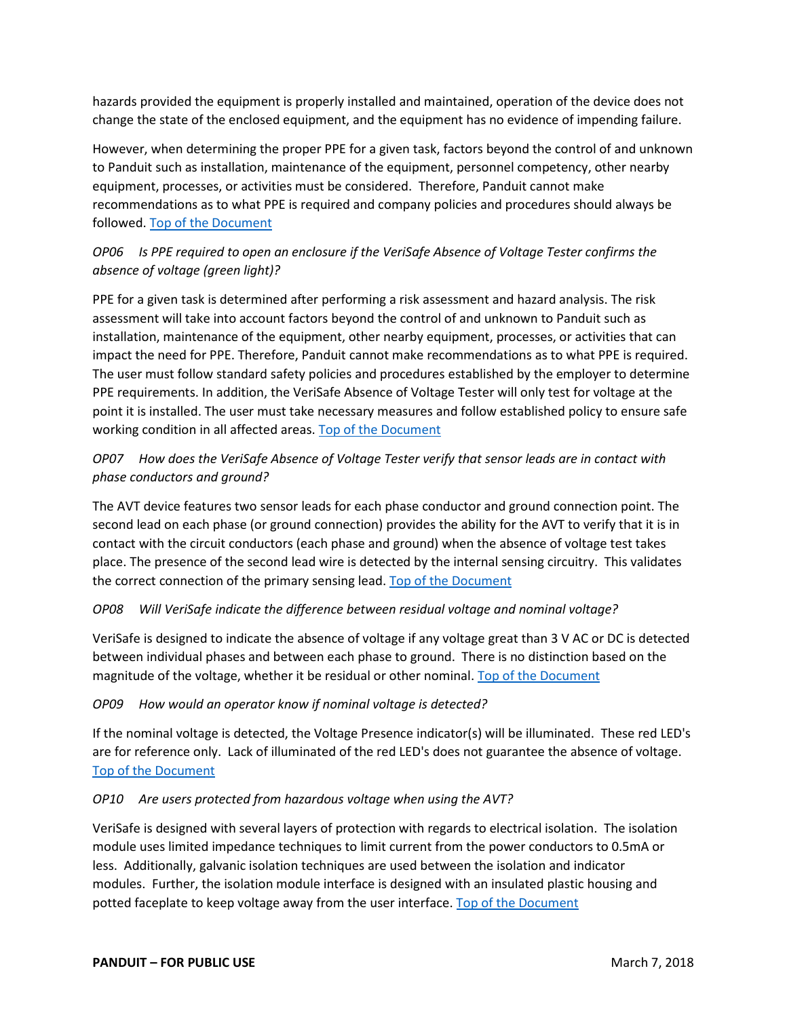hazards provided the equipment is properly installed and maintained, operation of the device does not change the state of the enclosed equipment, and the equipment has no evidence of impending failure.

However, when determining the proper PPE for a given task, factors beyond the control of and unknown to Panduit such as installation, maintenance of the equipment, personnel competency, other nearby equipment, processes, or activities must be considered. Therefore, Panduit cannot make recommendations as to what PPE is required and company policies and procedures should always be followed. [Top of the Document](#page-0-0)

## <span id="page-13-0"></span>*OP06 Is PPE required to open an enclosure if the VeriSafe Absence of Voltage Tester confirms the absence of voltage (green light)?*

PPE for a given task is determined after performing a risk assessment and hazard analysis. The risk assessment will take into account factors beyond the control of and unknown to Panduit such as installation, maintenance of the equipment, other nearby equipment, processes, or activities that can impact the need for PPE. Therefore, Panduit cannot make recommendations as to what PPE is required. The user must follow standard safety policies and procedures established by the employer to determine PPE requirements. In addition, the VeriSafe Absence of Voltage Tester will only test for voltage at the point it is installed. The user must take necessary measures and follow established policy to ensure safe working condition in all affected areas. [Top of the Document](#page-0-0)

## <span id="page-13-1"></span>*OP07 How does the VeriSafe Absence of Voltage Tester verify that sensor leads are in contact with phase conductors and ground?*

The AVT device features two sensor leads for each phase conductor and ground connection point. The second lead on each phase (or ground connection) provides the ability for the AVT to verify that it is in contact with the circuit conductors (each phase and ground) when the absence of voltage test takes place. The presence of the second lead wire is detected by the internal sensing circuitry. This validates the correct connection of the primary sensing lead. [Top of the Document](#page-0-0)

## <span id="page-13-2"></span>*OP08 Will VeriSafe indicate the difference between residual voltage and nominal voltage?*

VeriSafe is designed to indicate the absence of voltage if any voltage great than 3 V AC or DC is detected between individual phases and between each phase to ground. There is no distinction based on the magnitude of the voltage, whether it be residual or other nominal. [Top of the Document](#page-0-0)

## <span id="page-13-3"></span>*OP09 How would an operator know if nominal voltage is detected?*

If the nominal voltage is detected, the Voltage Presence indicator(s) will be illuminated. These red LED's are for reference only. Lack of illuminated of the red LED's does not guarantee the absence of voltage. [Top of the Document](#page-0-0)

## <span id="page-13-4"></span>*OP10 Are users protected from hazardous voltage when using the AVT?*

VeriSafe is designed with several layers of protection with regards to electrical isolation. The isolation module uses limited impedance techniques to limit current from the power conductors to 0.5mA or less. Additionally, galvanic isolation techniques are used between the isolation and indicator modules. Further, the isolation module interface is designed with an insulated plastic housing and potted faceplate to keep voltage away from the user interface. [Top of the Document](#page-0-0)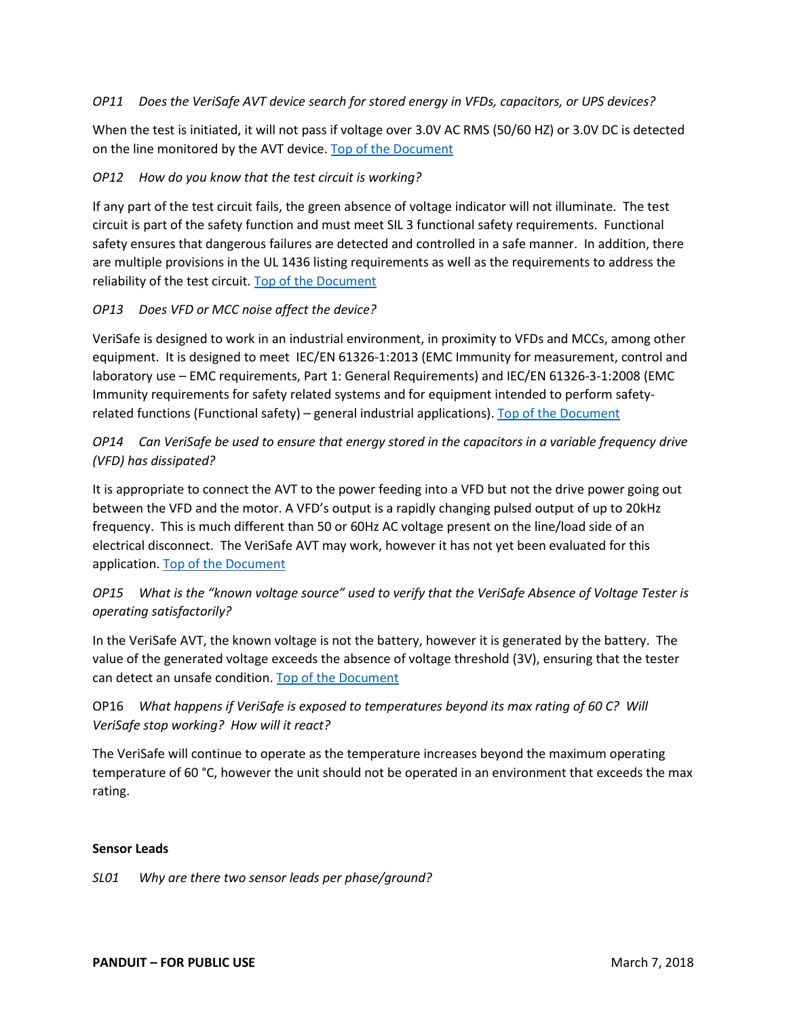#### <span id="page-14-0"></span>*OP11 Does the VeriSafe AVT device search for stored energy in VFDs, capacitors, or UPS devices?*

When the test is initiated, it will not pass if voltage over 3.0V AC RMS (50/60 HZ) or 3.0V DC is detected on the line monitored by the AVT device. [Top of the Document](#page-0-0)

#### <span id="page-14-1"></span>*OP12 How do you know that the test circuit is working?*

If any part of the test circuit fails, the green absence of voltage indicator will not illuminate. The test circuit is part of the safety function and must meet SIL 3 functional safety requirements. Functional safety ensures that dangerous failures are detected and controlled in a safe manner. In addition, there are multiple provisions in the UL 1436 listing requirements as well as the requirements to address the reliability of the test circuit[. Top of the Document](#page-0-0)

#### <span id="page-14-2"></span>*OP13 Does VFD or MCC noise affect the device?*

VeriSafe is designed to work in an industrial environment, in proximity to VFDs and MCCs, among other equipment. It is designed to meet IEC/EN 61326-1:2013 (EMC Immunity for measurement, control and laboratory use – EMC requirements, Part 1: General Requirements) and IEC/EN 61326-3-1:2008 (EMC Immunity requirements for safety related systems and for equipment intended to perform safety-related functions (Functional safety) – general industrial applications). [Top of the Document](#page-0-0)

## <span id="page-14-3"></span>*OP14 Can VeriSafe be used to ensure that energy stored in the capacitors in a variable frequency drive (VFD) has dissipated?*

It is appropriate to connect the AVT to the power feeding into a VFD but not the drive power going out between the VFD and the motor. A VFD's output is a rapidly changing pulsed output of up to 20kHz frequency. This is much different than 50 or 60Hz AC voltage present on the line/load side of an electrical disconnect. The VeriSafe AVT may work, however it has not yet been evaluated for this application. [Top of the Document](#page-0-0)

## <span id="page-14-4"></span>*OP15 What is the "known voltage source" used to verify that the VeriSafe Absence of Voltage Tester is operating satisfactorily?*

In the VeriSafe AVT, the known voltage is not the battery, however it is generated by the battery. The value of the generated voltage exceeds the absence of voltage threshold (3V), ensuring that the tester can detect an unsafe condition. [Top of the Document](#page-0-0)

## <span id="page-14-5"></span>OP16 *What happens if VeriSafe is exposed to temperatures beyond its max rating of 60 C? Will VeriSafe stop working? How will it react?*

The VeriSafe will continue to operate as the temperature increases beyond the maximum operating temperature of 60 °C, however the unit should not be operated in an environment that exceeds the max rating.

#### **Sensor Leads**

<span id="page-14-6"></span>*SL01 Why are there two sensor leads per phase/ground?*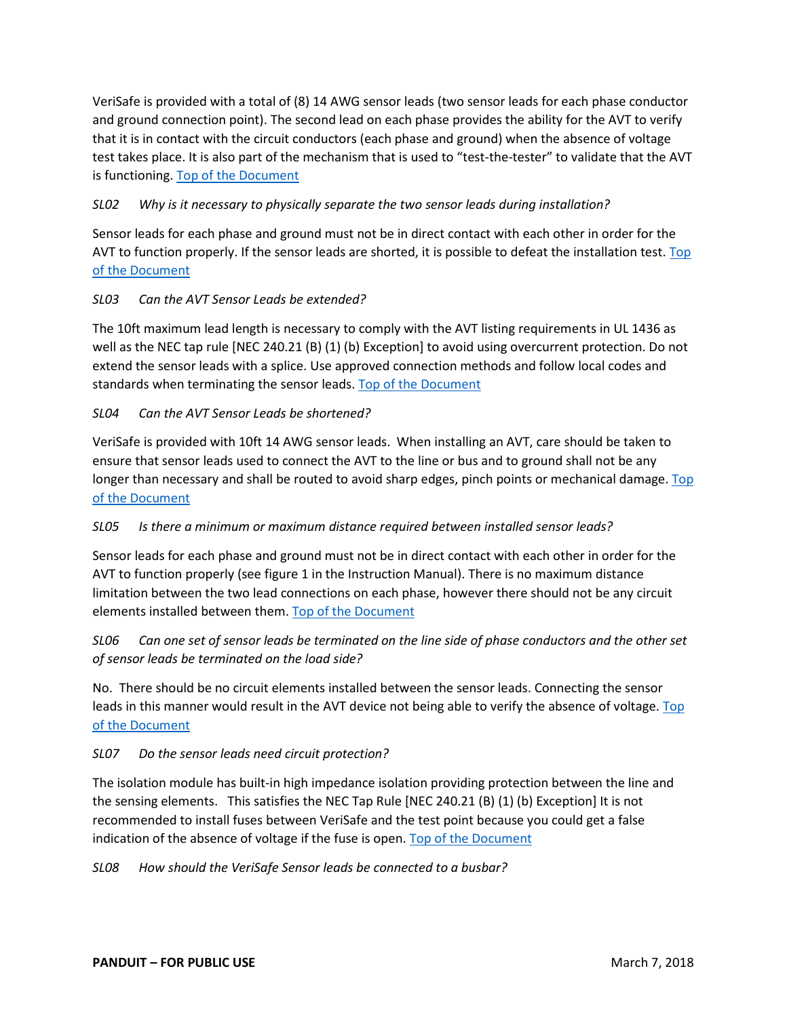VeriSafe is provided with a total of (8) 14 AWG sensor leads (two sensor leads for each phase conductor and ground connection point). The second lead on each phase provides the ability for the AVT to verify that it is in contact with the circuit conductors (each phase and ground) when the absence of voltage test takes place. It is also part of the mechanism that is used to "test-the-tester" to validate that the AVT is functioning. [Top of the Document](#page-0-0)

## <span id="page-15-0"></span>*SL02 Why is it necessary to physically separate the two sensor leads during installation?*

Sensor leads for each phase and ground must not be in direct contact with each other in order for the AVT to function properly. If the sensor leads are shorted, it is possible to defeat the installation test. Top [of the Document](#page-0-0)

## <span id="page-15-1"></span>*SL03 Can the AVT Sensor Leads be extended?*

The 10ft maximum lead length is necessary to comply with the AVT listing requirements in UL 1436 as well as the NEC tap rule [NEC 240.21 (B) (1) (b) Exception] to avoid using overcurrent protection. Do not extend the sensor leads with a splice. Use approved connection methods and follow local codes and standards when terminating the sensor leads. [Top of the Document](#page-0-0)

## <span id="page-15-2"></span>*SL04 Can the AVT Sensor Leads be shortened?*

VeriSafe is provided with 10ft 14 AWG sensor leads. When installing an AVT, care should be taken to ensure that sensor leads used to connect the AVT to the line or bus and to ground shall not be any longer than necessary and shall be routed to avoid sharp edges, pinch points or mechanical damage. Top [of the Document](#page-0-0)

## <span id="page-15-3"></span>*SL05 Is there a minimum or maximum distance required between installed sensor leads?*

Sensor leads for each phase and ground must not be in direct contact with each other in order for the AVT to function properly (see figure 1 in the Instruction Manual). There is no maximum distance limitation between the two lead connections on each phase, however there should not be any circuit elements installed between them[. Top of the Document](#page-0-0)

## <span id="page-15-4"></span>*SL06 Can one set of sensor leads be terminated on the line side of phase conductors and the other set of sensor leads be terminated on the load side?*

No. There should be no circuit elements installed between the sensor leads. Connecting the sensor leads in this manner would result in the AVT device not being able to verify the absence of voltage. Top [of the Document](#page-0-0)

#### <span id="page-15-5"></span>*SL07 Do the sensor leads need circuit protection?*

The isolation module has built-in high impedance isolation providing protection between the line and the sensing elements. This satisfies the NEC Tap Rule [NEC 240.21 (B) (1) (b) Exception] It is not recommended to install fuses between VeriSafe and the test point because you could get a false indication of the absence of voltage if the fuse is open. [Top of the Document](#page-0-0)

<span id="page-15-6"></span>*SL08 How should the VeriSafe Sensor leads be connected to a busbar?*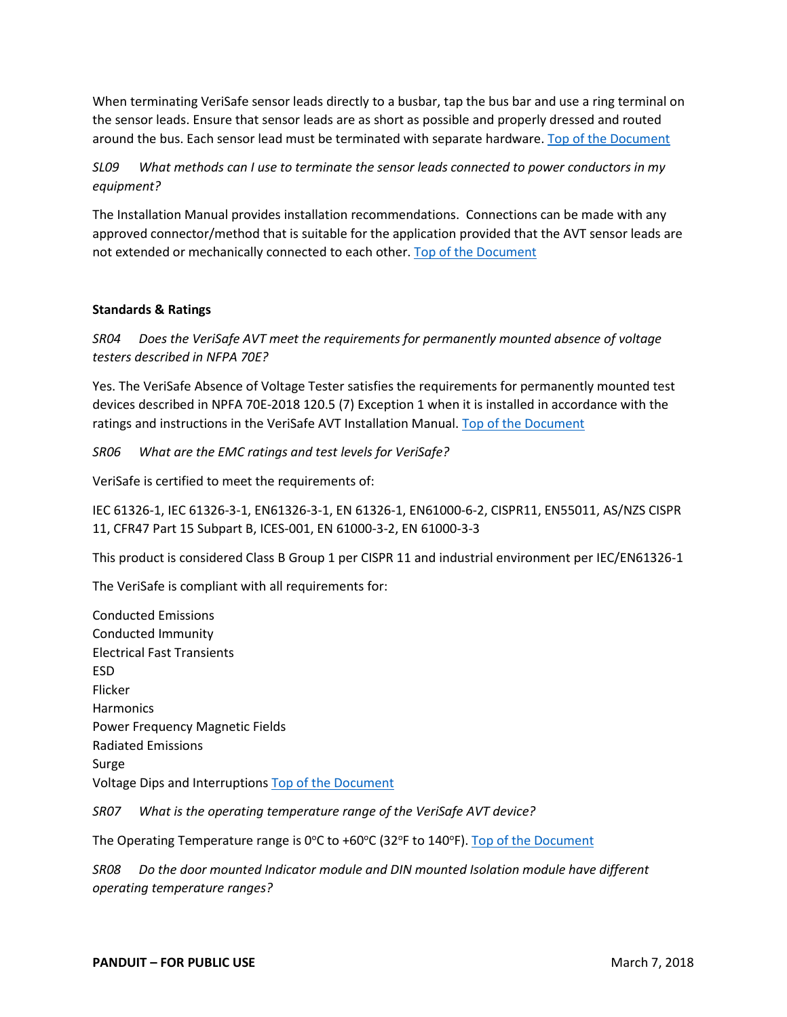When terminating VeriSafe sensor leads directly to a busbar, tap the bus bar and use a ring terminal on the sensor leads. Ensure that sensor leads are as short as possible and properly dressed and routed around the bus. Each sensor lead must be terminated with separate hardware. [Top of the Document](#page-0-0)

## <span id="page-16-4"></span>*SL09 What methods can I use to terminate the sensor leads connected to power conductors in my equipment?*

The Installation Manual provides installation recommendations. Connections can be made with any approved connector/method that is suitable for the application provided that the AVT sensor leads are not extended or mechanically connected to each other. [Top of the Document](#page-0-0)

#### **Standards & Ratings**

<span id="page-16-2"></span><span id="page-16-0"></span>*SR04 Does the VeriSafe AVT meet the requirements for permanently mounted absence of voltage testers described in NFPA 70E?*

Yes. The VeriSafe Absence of Voltage Tester satisfies the requirements for permanently mounted test devices described in NPFA 70E-2018 120.5 (7) Exception 1 when it is installed in accordance with the ratings and instructions in the VeriSafe AVT Installation Manual. [Top of the Document](#page-0-0)

<span id="page-16-1"></span>*SR06 What are the EMC ratings and test levels for VeriSafe?*

VeriSafe is certified to meet the requirements of:

IEC 61326-1, IEC 61326-3-1, EN61326-3-1, EN 61326-1, EN61000-6-2, CISPR11, EN55011, AS/NZS CISPR 11, CFR47 Part 15 Subpart B, ICES-001, EN 61000-3-2, EN 61000-3-3

This product is considered Class B Group 1 per CISPR 11 and industrial environment per IEC/EN61326-1

The VeriSafe is compliant with all requirements for:

Conducted Emissions Conducted Immunity Electrical Fast Transients ESD Flicker **Harmonics** Power Frequency Magnetic Fields Radiated Emissions Surge Voltage Dips and Interruptions [Top of the Document](#page-0-0)

*SR07 What is the operating temperature range of the VeriSafe AVT device?*

The Operating Temperature range is 0°C to +60°C (32°F to 140°F). [Top of the Document](#page-0-0)

<span id="page-16-3"></span>*SR08 Do the door mounted Indicator module and DIN mounted Isolation module have different operating temperature ranges?*